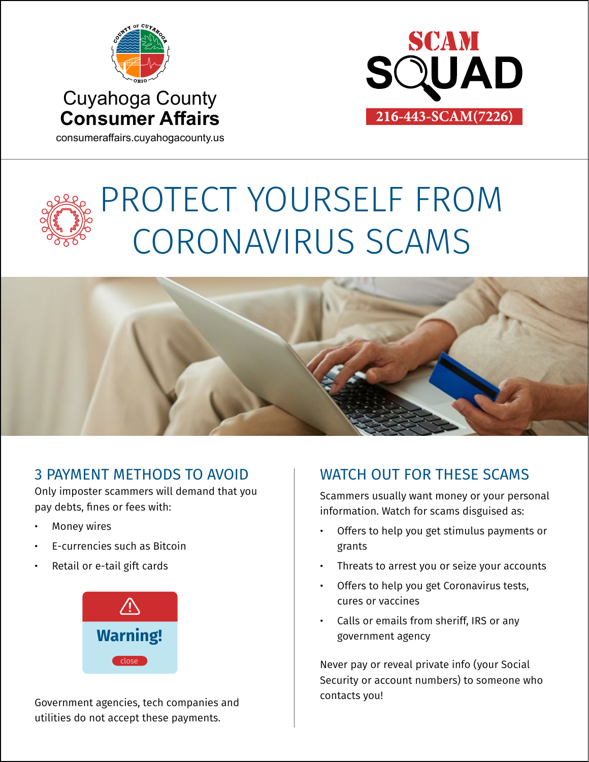



consumeraffairs.cuyahogacounty.us

# PROTECT YOURSELF FROM CORONAVIRUS SCAMS



#### 3 PAYMENT METHODS TO AVOID

Only imposter scammers will demand that you pay debts, fines or fees with:

- **Money wires**
- E-currencies such as Bitcoin
- Retail or e-tail gift cards



Government agencies, tech companies and utilities do not accept these payments.

### WATCH OUT FOR THESE SCAMS

Scammers usually want money or your personal information. Watch for scams disguised as:

- Offers to help you get stimulus payments or grants
- Threats to arrest you or seize your accounts
- Offers to help you get Coronavirus tests, cures or vaccines
- Calls or emails from sheriff, IRS or any government agency

Never pay or reveal private info (your Social Security or account numbers) to someone who contacts you!